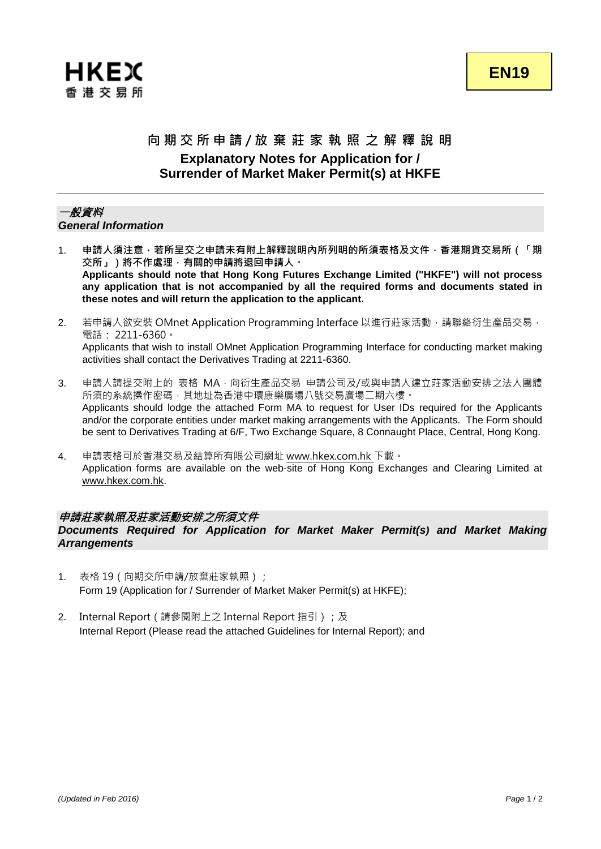

# **向 期 交 所 申 請 / 放 棄 莊 家 執 照 之 解 釋 說 明 Explanatory Notes for Application for / Surrender of Market Maker Permit(s) at HKFE**

#### 一般資料 *General Information*

- 1. **申請人須注意,若所呈交之申請未有附上解釋說明內所列明的所須表格及文件,香港期貨交易所(「期 交所」)將不作處理,有關的申請將退回申請人。 Applicants should note that Hong Kong Futures Exchange Limited ("HKFE") will not process any application that is not accompanied by all the required forms and documents stated in these notes and will return the application to the applicant.**
- 2. 若申請人欲安裝 OMnet Application Programming Interface 以進行莊家活動,請聯絡衍生產品交易, 電話: 2211-6360。 Applicants that wish to install OMnet Application Programming Interface for conducting market making activities shall contact the Derivatives Trading at 2211-6360.
- 3. 申請人請提交附上的 表格 MA,向衍生產品交易 申請公司及/或與申請人建立莊家活動安排之法人團體 所須的系統操作密碼,其地址為香港中環康樂廣場八號交易廣場二期六樓。 Applicants should lodge the attached Form MA to request for User IDs required for the Applicants and/or the corporate entities under market making arrangements with the Applicants. The Form should be sent to Derivatives Trading at 6/F, Two Exchange Square, 8 Connaught Place, Central, Hong Kong.
- 4. 申請表格可於香港交易及結算所有限公司網址 [www.hkex.com.hk](http://www.hkex.com.hk/) 下載。 Application forms are available on the web-site of Hong Kong Exchanges and Clearing Limited at [www.hkex.com.hk.](http://www.hkex.com.hk/)

#### 申請莊家執照及莊家活動安排之所須文件

*Documents Required for Application for Market Maker Permit(s) and Market Making Arrangements*

- 1. 表格 19 (向期交所申請/放棄莊家執照); Form 19 (Application for / Surrender of Market Maker Permit(s) at HKFE);
- 2. Internal Report (請參閱附上之 Internal Report 指引);及 Internal Report (Please read the attached Guidelines for Internal Report); and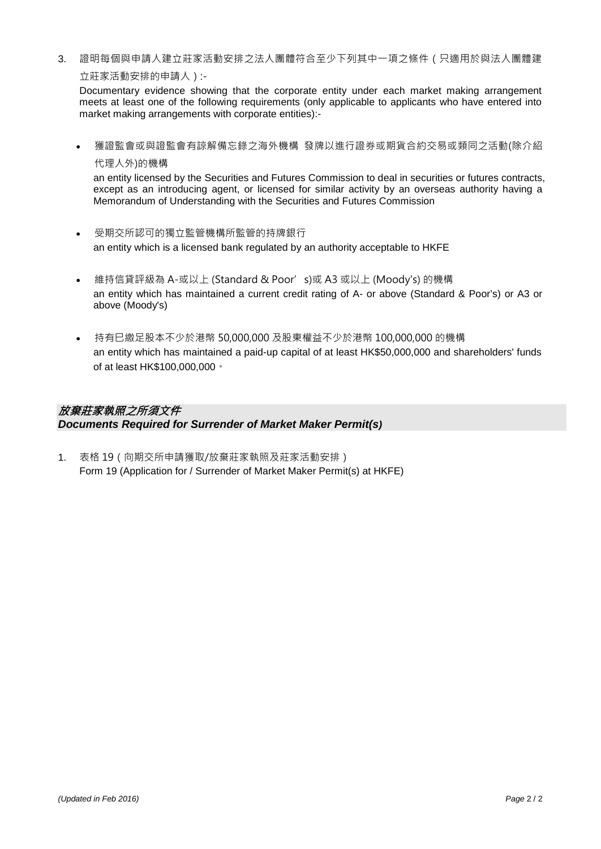3. 證明每個與申請人建立莊家活動安排之法人團體符合至少下列其中一項之條件(只適用於與法人團體建 立莊家活動安排的申請人):-

Documentary evidence showing that the corporate entity under each market making arrangement meets at least one of the following requirements (only applicable to applicants who have entered into market making arrangements with corporate entities):-

• 獲證監會或與證監會有諒解備忘錄之海外機構 發牌以進行證券或期貨合約交易或類同之活動(除介紹 代理人外)的機構

an entity licensed by the Securities and Futures Commission to deal in securities or futures contracts, except as an introducing agent, or licensed for similar activity by an overseas authority having a Memorandum of Understanding with the Securities and Futures Commission

- 受期交所認可的獨立監管機構所監管的持牌銀行 an entity which is a licensed bank regulated by an authority acceptable to HKFE
- 維持信貸評級為 A-或以上 (Standard & Poor's)或 A3 或以上 (Moody's) 的機構 an entity which has maintained a current credit rating of A- or above (Standard & Poor's) or A3 or above (Moody's)
- 持有巳繳足股本不少於港幣 50,000,000 及股東權益不少於港幣 100,000,000 的機構 an entity which has maintained a paid-up capital of at least HK\$50,000,000 and shareholders' funds of at least HK\$100,000,000。

### 放棄莊家執照之所須文件 *Documents Required for Surrender of Market Maker Permit(s)*

1. 表格 19(向期交所申請獲取/放棄莊家執照及莊家活動安排) Form 19 (Application for / Surrender of Market Maker Permit(s) at HKFE)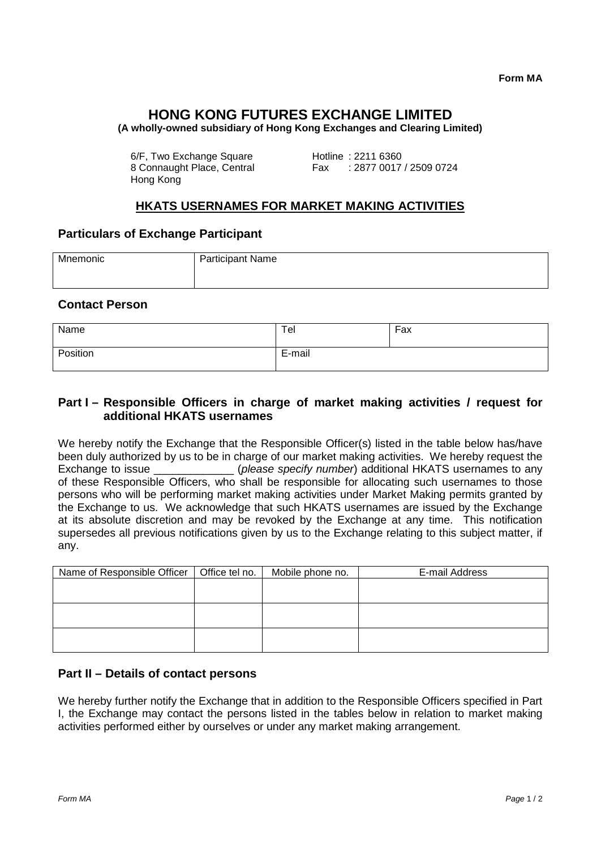# **HONG KONG FUTURES EXCHANGE LIMITED**

**(A wholly-owned subsidiary of Hong Kong Exchanges and Clearing Limited)**

6/F, Two Exchange Square Hotline : 2211 6360 Hong Kong

8 Connaught Place, Central Fax : 2877 0017 / 2509 0724

# **HKATS USERNAMES FOR MARKET MAKING ACTIVITIES**

### **Particulars of Exchange Participant**

| Mnemonic | <b>Participant Name</b> |  |
|----------|-------------------------|--|
|          |                         |  |
|          |                         |  |

### **Contact Person**

| Name     | Tel    | Fax |
|----------|--------|-----|
| Position | E-mail |     |

## **Part I – Responsible Officers in charge of market making activities / request for additional HKATS usernames**

We hereby notify the Exchange that the Responsible Officer(s) listed in the table below has/have been duly authorized by us to be in charge of our market making activities. We hereby request the Exchange to issue \_\_\_\_\_\_\_\_\_\_\_\_\_ (*please specify number*) additional HKATS usernames to any of these Responsible Officers, who shall be responsible for allocating such usernames to those persons who will be performing market making activities under Market Making permits granted by the Exchange to us. We acknowledge that such HKATS usernames are issued by the Exchange at its absolute discretion and may be revoked by the Exchange at any time. This notification supersedes all previous notifications given by us to the Exchange relating to this subject matter, if any.

| Name of Responsible Officer | Office tel no. | Mobile phone no. | E-mail Address |
|-----------------------------|----------------|------------------|----------------|
|                             |                |                  |                |
|                             |                |                  |                |
|                             |                |                  |                |
|                             |                |                  |                |
|                             |                |                  |                |
|                             |                |                  |                |

## **Part II – Details of contact persons**

We hereby further notify the Exchange that in addition to the Responsible Officers specified in Part I, the Exchange may contact the persons listed in the tables below in relation to market making activities performed either by ourselves or under any market making arrangement.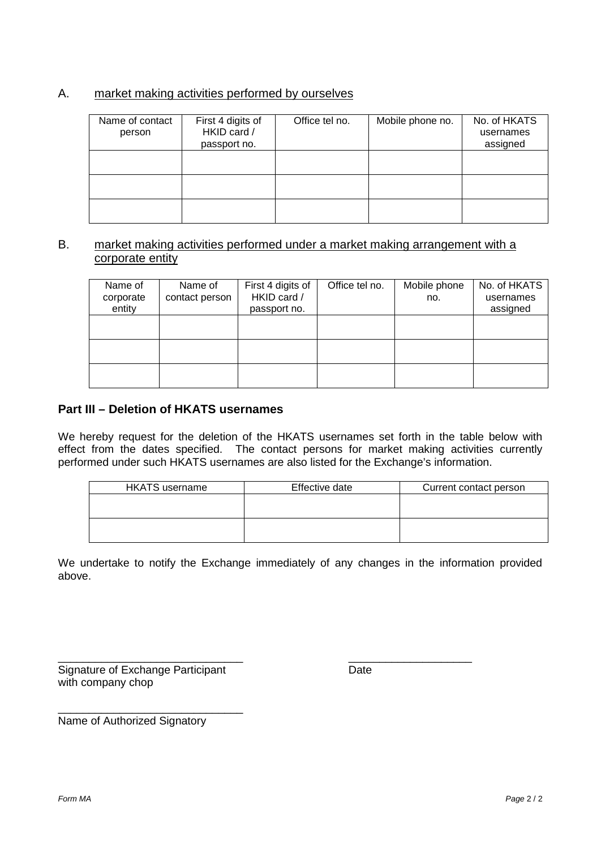## A. market making activities performed by ourselves

| Name of contact | First 4 digits of | Office tel no. | Mobile phone no. | No. of HKATS |
|-----------------|-------------------|----------------|------------------|--------------|
| person          | HKID card /       |                |                  | usernames    |
|                 | passport no.      |                |                  | assigned     |
|                 |                   |                |                  |              |
|                 |                   |                |                  |              |
|                 |                   |                |                  |              |
|                 |                   |                |                  |              |
|                 |                   |                |                  |              |
|                 |                   |                |                  |              |

### B. market making activities performed under a market making arrangement with a corporate entity

| Name of<br>corporate<br>entity | Name of<br>contact person | First 4 digits of<br>HKID card /<br>passport no. | Office tel no. | Mobile phone<br>no. | No. of HKATS<br>usernames<br>assigned |
|--------------------------------|---------------------------|--------------------------------------------------|----------------|---------------------|---------------------------------------|
|                                |                           |                                                  |                |                     |                                       |
|                                |                           |                                                  |                |                     |                                       |
|                                |                           |                                                  |                |                     |                                       |

### **Part III – Deletion of HKATS usernames**

We hereby request for the deletion of the HKATS usernames set forth in the table below with effect from the dates specified. The contact persons for market making activities currently performed under such HKATS usernames are also listed for the Exchange's information.

| <b>HKATS</b> username | Effective date | Current contact person |
|-----------------------|----------------|------------------------|
|                       |                |                        |
|                       |                |                        |
|                       |                |                        |
|                       |                |                        |

We undertake to notify the Exchange immediately of any changes in the information provided above.

\_\_\_\_\_\_\_\_\_\_\_\_\_\_\_\_\_\_\_\_\_\_\_\_\_\_\_\_\_\_ \_\_\_\_\_\_\_\_\_\_\_\_\_\_\_\_\_\_\_\_ Signature of Exchange Participant **Date** with company chop

\_\_\_\_\_\_\_\_\_\_\_\_\_\_\_\_\_\_\_\_\_\_\_\_\_\_\_\_\_\_ Name of Authorized Signatory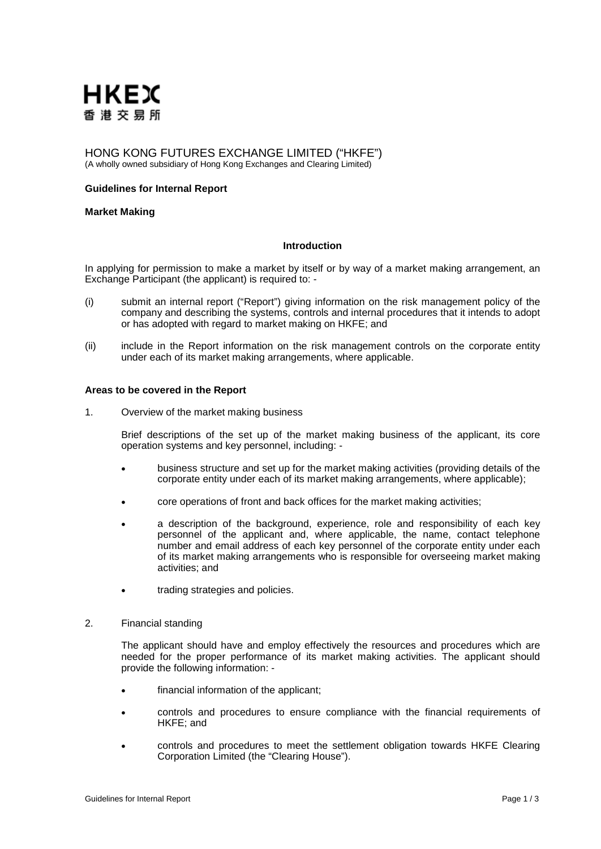

HONG KONG FUTURES EXCHANGE LIMITED ("HKFE") (A wholly owned subsidiary of Hong Kong Exchanges and Clearing Limited)

#### **Guidelines for Internal Report**

#### **Market Making**

#### **Introduction**

In applying for permission to make a market by itself or by way of a market making arrangement, an Exchange Participant (the applicant) is required to: -

- (i) submit an internal report ("Report") giving information on the risk management policy of the company and describing the systems, controls and internal procedures that it intends to adopt or has adopted with regard to market making on HKFE; and
- (ii) include in the Report information on the risk management controls on the corporate entity under each of its market making arrangements, where applicable.

#### **Areas to be covered in the Report**

1. Overview of the market making business

Brief descriptions of the set up of the market making business of the applicant, its core operation systems and key personnel, including: -

- business structure and set up for the market making activities (providing details of the corporate entity under each of its market making arrangements, where applicable);
- core operations of front and back offices for the market making activities;
- a description of the background, experience, role and responsibility of each key personnel of the applicant and, where applicable, the name, contact telephone number and email address of each key personnel of the corporate entity under each of its market making arrangements who is responsible for overseeing market making activities; and
- trading strategies and policies.

#### 2. Financial standing

The applicant should have and employ effectively the resources and procedures which are needed for the proper performance of its market making activities. The applicant should provide the following information: -

- financial information of the applicant;
- controls and procedures to ensure compliance with the financial requirements of HKFE; and
- controls and procedures to meet the settlement obligation towards HKFE Clearing Corporation Limited (the "Clearing House").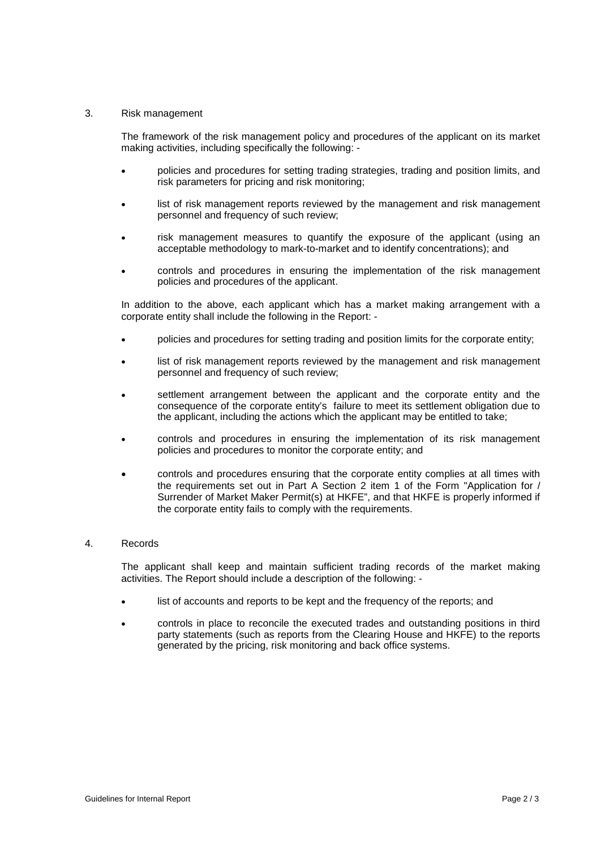#### 3. Risk management

The framework of the risk management policy and procedures of the applicant on its market making activities, including specifically the following: -

- policies and procedures for setting trading strategies, trading and position limits, and risk parameters for pricing and risk monitoring;
- list of risk management reports reviewed by the management and risk management personnel and frequency of such review;
- risk management measures to quantify the exposure of the applicant (using an acceptable methodology to mark-to-market and to identify concentrations); and
- controls and procedures in ensuring the implementation of the risk management policies and procedures of the applicant.

In addition to the above, each applicant which has a market making arrangement with a corporate entity shall include the following in the Report: -

- policies and procedures for setting trading and position limits for the corporate entity;
- list of risk management reports reviewed by the management and risk management personnel and frequency of such review;
- settlement arrangement between the applicant and the corporate entity and the consequence of the corporate entity's failure to meet its settlement obligation due to the applicant, including the actions which the applicant may be entitled to take;
- controls and procedures in ensuring the implementation of its risk management policies and procedures to monitor the corporate entity; and
- controls and procedures ensuring that the corporate entity complies at all times with the requirements set out in Part A Section 2 item 1 of the Form "Application for / Surrender of Market Maker Permit(s) at HKFE", and that HKFE is properly informed if the corporate entity fails to comply with the requirements.

#### 4. Records

The applicant shall keep and maintain sufficient trading records of the market making activities. The Report should include a description of the following: -

- list of accounts and reports to be kept and the frequency of the reports; and
- controls in place to reconcile the executed trades and outstanding positions in third party statements (such as reports from the Clearing House and HKFE) to the reports generated by the pricing, risk monitoring and back office systems.